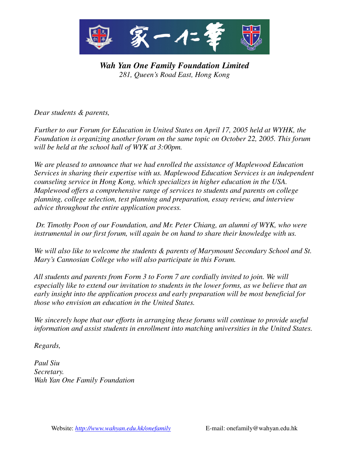

*Wah Yan One Family Foundation Limited 281, Queen's Road East, Hong Kong*

*Dear students & parents,*

*Further to our Forum for Education in United States on April 17, 2005 held at WYHK, the Foundation is organizing another forum on the same topic on October 22, 2005. This forum will be held at the school hall of WYK at 3:00pm.* 

*We are pleased to announce that we had enrolled the assistance of Maplewood Education Services in sharing their expertise with us. Maplewood Education Services is an independent counseling service in Hong Kong, which specializes in higher education in the USA. Maplewood offers a comprehensive range of services to students and parents on college planning, college selection, test planning and preparation, essay review, and interview advice throughout the entire application process.*

*Dr. Timothy Poon of our Foundation, and Mr. Peter Chiang, an alumni of WYK, who were instrumental in our first forum, will again be on hand to share their knowledge with us.*

*We will also like to welcome the students & parents of Marymount Secondary School and St. Mary's Cannosian College who will also participate in this Forum.* 

*All students and parents from Form 3 to Form 7 are cordially invited to join. We will especially like to extend our invitation to students in the lower forms, as we believe that an early insight into the application process and early preparation will be most beneficial for those who envision an education in the United States.* 

*We sincerely hope that our efforts in arranging these forums will continue to provide useful information and assist students in enrollment into matching universities in the United States.* 

*Regards,*

*Paul Siu Secretary. Wah Yan One Family Foundation*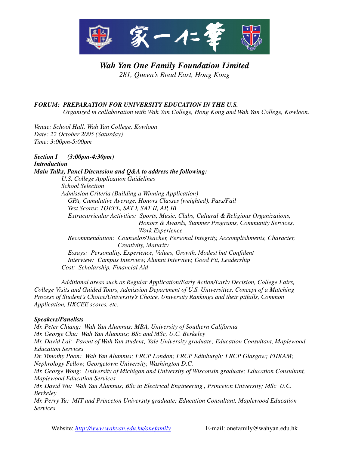

## *Wah Yan One Family Foundation Limited 281, Queen's Road East, Hong Kong*

## *FORUM: PREPARATION FOR UNIVERSITY EDUCATION IN THE U.S.*

 *Organized in collaboration with Wah Yan College, Hong Kong and Wah Yan College, Kowloon.*

*Venue: School Hall, Wah Yan College, Kowloon Date: 22 October 2005 (Saturday) Time: 3:00pm-5:00pm*

*Section I (3:00pm-4:30pm) Introduction Main Talks, Panel Discussion and Q&A to address the following: U.S. College Application Guidelines School Selection Admission Criteria (Building a Winning Application) GPA, Cumulative Average, Honors Classes (weighted), Pass/Fail Test Scores: TOEFL, SAT I, SAT II, AP, IB Extracurricular Activities: Sports, Music, Clubs, Cultural & Religious Organizations, Honors & Awards, Summer Programs, Community Services, Work Experience Recommendation: Counselor/Teacher, Personal Integrity, Accomplishments, Character, Creativity, Maturity Essays: Personality, Experience, Values, Growth, Modest but Confident Interview: Campus Interview, Alumni Interview, Good Fit, Leadership Cost: Scholarship, Financial Aid*

 *Additional areas such as Regular Application/Early Action/Early Decision, College Fairs, College Visits and Guided Tours, Admission Department of U.S. Universities, Concept of a Matching Process of Student's Choice/University's Choice, University Rankings and their pitfalls, Common Application, HKCEE scores, etc.*

## *Speakers/Panelists*

*Mr. Peter Chiang: Wah Yan Alumnus; MBA, University of Southern California Mr. George Chu: Wah Yan Alumnus; BSc and MSc, U.C. Berkeley Mr. David Lai: Parent of Wah Yan student; Yale University graduate; Education Consultant, Maplewood Education Services Dr. Timothy Poon: Wah Yan Alumnus; FRCP London; FRCP Edinburgh; FRCP Glasgow; FHKAM; Nephrology Fellow, Georgetown University, Washington D.C. Mr. George Wong: University of Michigan and University of Wisconsin graduate; Education Consultant, Maplewood Education Services Mr. David Wu: Wah Yan Alumnus; BSc in Electrical Engineering , Princeton University; MSc U.C. Berkeley*

*Mr. Perry Yu: MIT and Princeton University graduate; Education Consultant, Maplewood Education Services*